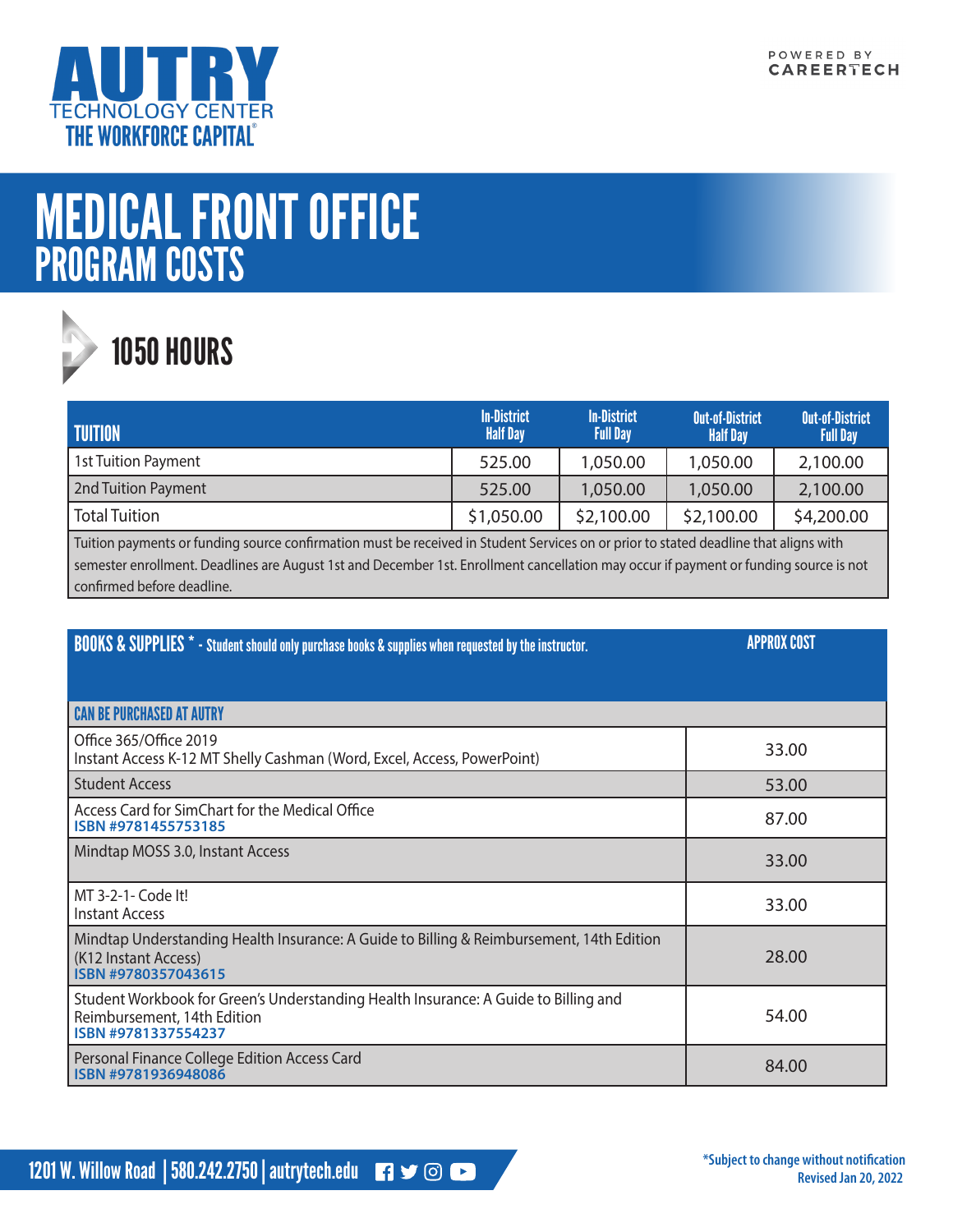

## MEDICAL FRONT OFFICE PROGRAM COSTS



## 1050 HOURS

| <b>TUITION</b>             | <b>In-District</b><br><b>Half Day</b> | <b>In-District</b><br><b>Full Day</b> | <b>Out-of-District</b><br><b>Half Day</b> | <b>Out-of-District</b><br><b>Full Day</b> |
|----------------------------|---------------------------------------|---------------------------------------|-------------------------------------------|-------------------------------------------|
| <b>1st Tuition Payment</b> | 525.00                                | 1,050.00                              | 1,050.00                                  | 2,100.00                                  |
| 2nd Tuition Payment        | 525.00                                | 1,050.00                              | 1,050.00                                  | 2,100.00                                  |
| <b>Total Tuition</b>       | \$1,050.00                            | \$2,100.00                            | \$2,100.00                                | \$4,200.00                                |
|                            |                                       |                                       |                                           |                                           |

Tuition payments or funding source confirmation must be received in Student Services on or prior to stated deadline that aligns with semester enrollment. Deadlines are August 1st and December 1st. Enrollment cancellation may occur if payment or funding source is not confirmed before deadline.

| <b>BOOKS &amp; SUPPLIES</b> * - Student should only purchase books & supplies when requested by the instructor.                           | <b>APPROX COST</b> |  |
|-------------------------------------------------------------------------------------------------------------------------------------------|--------------------|--|
|                                                                                                                                           |                    |  |
| <b>CAN BE PURCHASED AT AUTRY</b>                                                                                                          |                    |  |
| Office 365/Office 2019<br>Instant Access K-12 MT Shelly Cashman (Word, Excel, Access, PowerPoint)                                         | 33.00              |  |
| <b>Student Access</b>                                                                                                                     | 53.00              |  |
| Access Card for SimChart for the Medical Office<br>ISBN #9781455753185                                                                    | 87.00              |  |
| Mindtap MOSS 3.0, Instant Access                                                                                                          | 33.00              |  |
| MT 3-2-1- Code It!<br><b>Instant Access</b>                                                                                               | 33.00              |  |
| Mindtap Understanding Health Insurance: A Guide to Billing & Reimbursement, 14th Edition<br>(K12 Instant Access)<br>ISBN #9780357043615   | 28.00              |  |
| Student Workbook for Green's Understanding Health Insurance: A Guide to Billing and<br>Reimbursement, 14th Edition<br>ISBN #9781337554237 | 54.00              |  |
| Personal Finance College Edition Access Card<br>ISBN #9781936948086                                                                       | 84.00              |  |